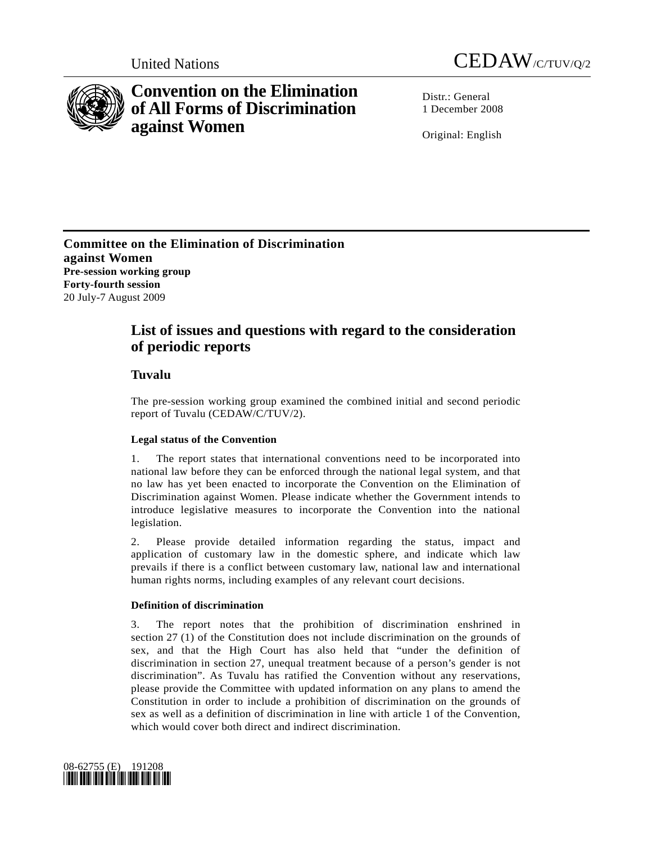



# **Convention on the Elimination of All Forms of Discrimination against Women**

 $Distr: General$ 1 December 2008

Original: English

**Committee on the Elimination of Discrimination against Women Pre-session working group Forty-fourth session**  20 July-7 August 2009

## **List of issues and questions with regard to the consideration of periodic reports**

## **Tuvalu**

The pre-session working group examined the combined initial and second periodic report of Tuvalu (CEDAW/C/TUV/2).

## **Legal status of the Convention**

1. The report states that international conventions need to be incorporated into national law before they can be enforced through the national legal system, and that no law has yet been enacted to incorporate the Convention on the Elimination of Discrimination against Women. Please indicate whether the Government intends to introduce legislative measures to incorporate the Convention into the national legislation.

2. Please provide detailed information regarding the status, impact and application of customary law in the domestic sphere, and indicate which law prevails if there is a conflict between customary law, national law and international human rights norms, including examples of any relevant court decisions.

### **Definition of discrimination**

3. The report notes that the prohibition of discrimination enshrined in section 27 (1) of the Constitution does not include discrimination on the grounds of sex, and that the High Court has also held that "under the definition of discrimination in section 27, unequal treatment because of a person's gender is not discrimination". As Tuvalu has ratified the Convention without any reservations, please provide the Committee with updated information on any plans to amend the Constitution in order to include a prohibition of discrimination on the grounds of sex as well as a definition of discrimination in line with article 1 of the Convention, which would cover both direct and indirect discrimination.

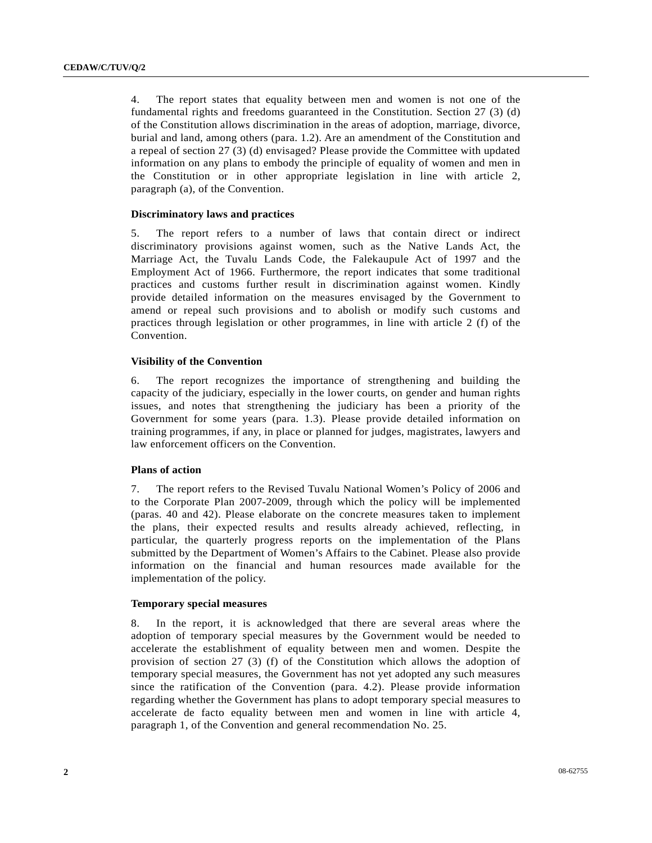4. The report states that equality between men and women is not one of the fundamental rights and freedoms guaranteed in the Constitution. Section 27 (3) (d) of the Constitution allows discrimination in the areas of adoption, marriage, divorce, burial and land, among others (para. 1.2). Are an amendment of the Constitution and a repeal of section 27 (3) (d) envisaged? Please provide the Committee with updated information on any plans to embody the principle of equality of women and men in the Constitution or in other appropriate legislation in line with article 2, paragraph (a), of the Convention.

#### **Discriminatory laws and practices**

5. The report refers to a number of laws that contain direct or indirect discriminatory provisions against women, such as the Native Lands Act, the Marriage Act, the Tuvalu Lands Code, the Falekaupule Act of 1997 and the Employment Act of 1966. Furthermore, the report indicates that some traditional practices and customs further result in discrimination against women. Kindly provide detailed information on the measures envisaged by the Government to amend or repeal such provisions and to abolish or modify such customs and practices through legislation or other programmes, in line with article 2 (f) of the Convention.

#### **Visibility of the Convention**

6. The report recognizes the importance of strengthening and building the capacity of the judiciary, especially in the lower courts, on gender and human rights issues, and notes that strengthening the judiciary has been a priority of the Government for some years (para. 1.3). Please provide detailed information on training programmes, if any, in place or planned for judges, magistrates, lawyers and law enforcement officers on the Convention.

#### **Plans of action**

7. The report refers to the Revised Tuvalu National Women's Policy of 2006 and to the Corporate Plan 2007-2009, through which the policy will be implemented (paras. 40 and 42). Please elaborate on the concrete measures taken to implement the plans, their expected results and results already achieved, reflecting, in particular, the quarterly progress reports on the implementation of the Plans submitted by the Department of Women's Affairs to the Cabinet. Please also provide information on the financial and human resources made available for the implementation of the policy.

#### **Temporary special measures**

8. In the report, it is acknowledged that there are several areas where the adoption of temporary special measures by the Government would be needed to accelerate the establishment of equality between men and women. Despite the provision of section 27 (3) (f) of the Constitution which allows the adoption of temporary special measures, the Government has not yet adopted any such measures since the ratification of the Convention (para. 4.2). Please provide information regarding whether the Government has plans to adopt temporary special measures to accelerate de facto equality between men and women in line with article 4, paragraph 1, of the Convention and general recommendation No. 25.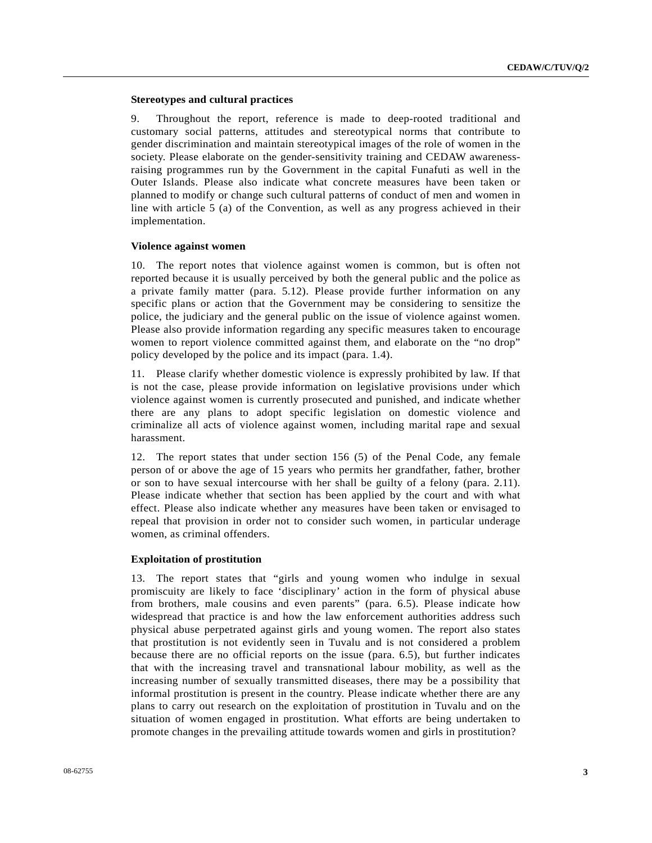#### **Stereotypes and cultural practices**

9. Throughout the report, reference is made to deep-rooted traditional and customary social patterns, attitudes and stereotypical norms that contribute to gender discrimination and maintain stereotypical images of the role of women in the society. Please elaborate on the gender-sensitivity training and CEDAW awarenessraising programmes run by the Government in the capital Funafuti as well in the Outer Islands. Please also indicate what concrete measures have been taken or planned to modify or change such cultural patterns of conduct of men and women in line with article 5 (a) of the Convention, as well as any progress achieved in their implementation.

#### **Violence against women**

10. The report notes that violence against women is common, but is often not reported because it is usually perceived by both the general public and the police as a private family matter (para. 5.12). Please provide further information on any specific plans or action that the Government may be considering to sensitize the police, the judiciary and the general public on the issue of violence against women. Please also provide information regarding any specific measures taken to encourage women to report violence committed against them, and elaborate on the "no drop" policy developed by the police and its impact (para. 1.4).

11. Please clarify whether domestic violence is expressly prohibited by law. If that is not the case, please provide information on legislative provisions under which violence against women is currently prosecuted and punished, and indicate whether there are any plans to adopt specific legislation on domestic violence and criminalize all acts of violence against women, including marital rape and sexual harassment.

12. The report states that under section 156 (5) of the Penal Code, any female person of or above the age of 15 years who permits her grandfather, father, brother or son to have sexual intercourse with her shall be guilty of a felony (para. 2.11). Please indicate whether that section has been applied by the court and with what effect. Please also indicate whether any measures have been taken or envisaged to repeal that provision in order not to consider such women, in particular underage women, as criminal offenders.

#### **Exploitation of prostitution**

13. The report states that "girls and young women who indulge in sexual promiscuity are likely to face 'disciplinary' action in the form of physical abuse from brothers, male cousins and even parents" (para. 6.5). Please indicate how widespread that practice is and how the law enforcement authorities address such physical abuse perpetrated against girls and young women. The report also states that prostitution is not evidently seen in Tuvalu and is not considered a problem because there are no official reports on the issue (para. 6.5), but further indicates that with the increasing travel and transnational labour mobility, as well as the increasing number of sexually transmitted diseases, there may be a possibility that informal prostitution is present in the country. Please indicate whether there are any plans to carry out research on the exploitation of prostitution in Tuvalu and on the situation of women engaged in prostitution. What efforts are being undertaken to promote changes in the prevailing attitude towards women and girls in prostitution?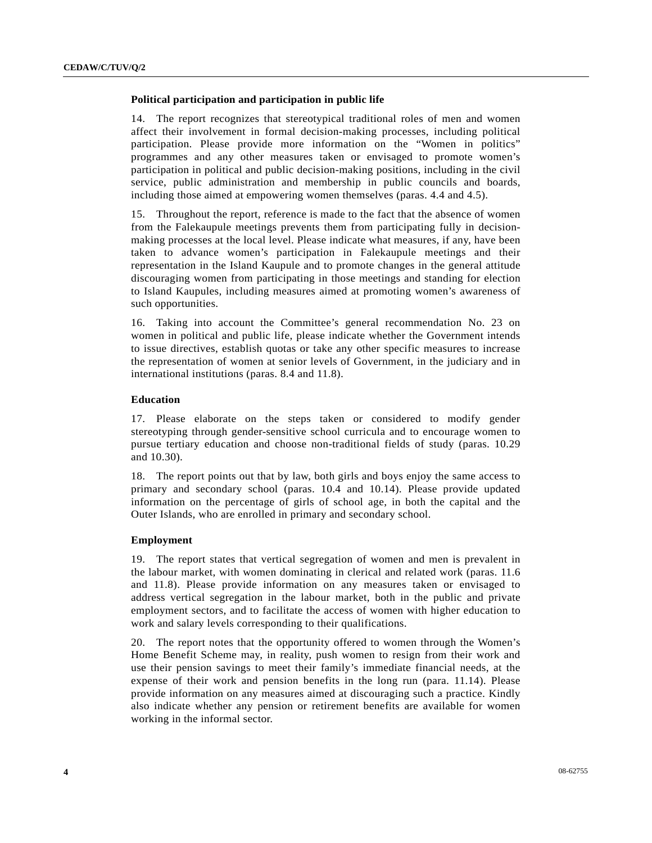#### **Political participation and participation in public life**

14. The report recognizes that stereotypical traditional roles of men and women affect their involvement in formal decision-making processes, including political participation. Please provide more information on the "Women in politics" programmes and any other measures taken or envisaged to promote women's participation in political and public decision-making positions, including in the civil service, public administration and membership in public councils and boards, including those aimed at empowering women themselves (paras. 4.4 and 4.5).

15. Throughout the report, reference is made to the fact that the absence of women from the Falekaupule meetings prevents them from participating fully in decisionmaking processes at the local level. Please indicate what measures, if any, have been taken to advance women's participation in Falekaupule meetings and their representation in the Island Kaupule and to promote changes in the general attitude discouraging women from participating in those meetings and standing for election to Island Kaupules, including measures aimed at promoting women's awareness of such opportunities.

16. Taking into account the Committee's general recommendation No. 23 on women in political and public life, please indicate whether the Government intends to issue directives, establish quotas or take any other specific measures to increase the representation of women at senior levels of Government, in the judiciary and in international institutions (paras. 8.4 and 11.8).

#### **Education**

17. Please elaborate on the steps taken or considered to modify gender stereotyping through gender-sensitive school curricula and to encourage women to pursue tertiary education and choose non-traditional fields of study (paras. 10.29 and 10.30).

18. The report points out that by law, both girls and boys enjoy the same access to primary and secondary school (paras. 10.4 and 10.14). Please provide updated information on the percentage of girls of school age, in both the capital and the Outer Islands, who are enrolled in primary and secondary school.

#### **Employment**

19. The report states that vertical segregation of women and men is prevalent in the labour market, with women dominating in clerical and related work (paras. 11.6 and 11.8). Please provide information on any measures taken or envisaged to address vertical segregation in the labour market, both in the public and private employment sectors, and to facilitate the access of women with higher education to work and salary levels corresponding to their qualifications.

20. The report notes that the opportunity offered to women through the Women's Home Benefit Scheme may, in reality, push women to resign from their work and use their pension savings to meet their family's immediate financial needs, at the expense of their work and pension benefits in the long run (para. 11.14). Please provide information on any measures aimed at discouraging such a practice. Kindly also indicate whether any pension or retirement benefits are available for women working in the informal sector.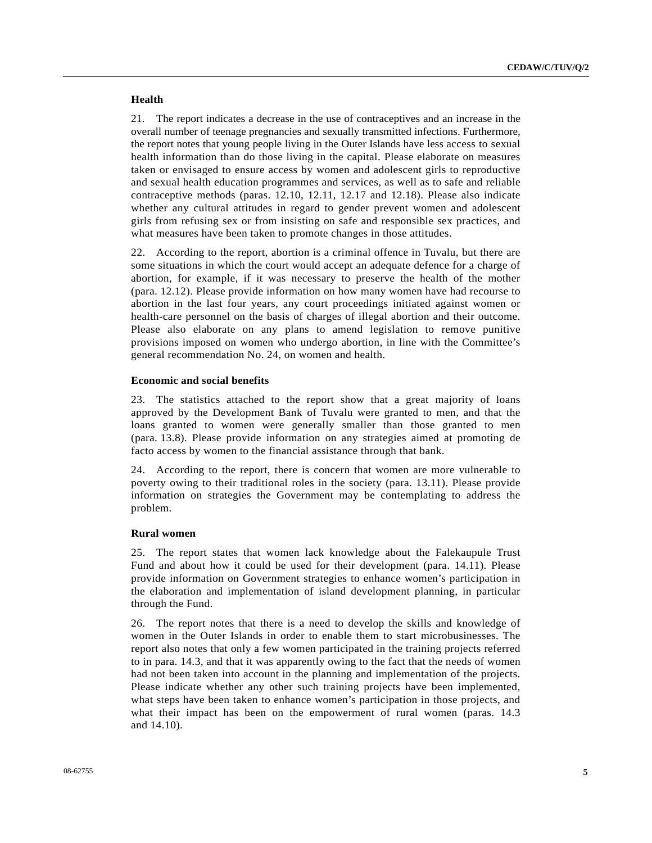#### **Health**

21. The report indicates a decrease in the use of contraceptives and an increase in the overall number of teenage pregnancies and sexually transmitted infections. Furthermore, the report notes that young people living in the Outer Islands have less access to sexual health information than do those living in the capital. Please elaborate on measures taken or envisaged to ensure access by women and adolescent girls to reproductive and sexual health education programmes and services, as well as to safe and reliable contraceptive methods (paras. 12.10, 12.11, 12.17 and 12.18). Please also indicate whether any cultural attitudes in regard to gender prevent women and adolescent girls from refusing sex or from insisting on safe and responsible sex practices, and what measures have been taken to promote changes in those attitudes.

22. According to the report, abortion is a criminal offence in Tuvalu, but there are some situations in which the court would accept an adequate defence for a charge of abortion, for example, if it was necessary to preserve the health of the mother (para. 12.12). Please provide information on how many women have had recourse to abortion in the last four years, any court proceedings initiated against women or health-care personnel on the basis of charges of illegal abortion and their outcome. Please also elaborate on any plans to amend legislation to remove punitive provisions imposed on women who undergo abortion, in line with the Committee's general recommendation No. 24, on women and health.

#### **Economic and social benefits**

23. The statistics attached to the report show that a great majority of loans approved by the Development Bank of Tuvalu were granted to men, and that the loans granted to women were generally smaller than those granted to men (para. 13.8). Please provide information on any strategies aimed at promoting de facto access by women to the financial assistance through that bank.

24. According to the report, there is concern that women are more vulnerable to poverty owing to their traditional roles in the society (para. 13.11). Please provide information on strategies the Government may be contemplating to address the problem.

#### **Rural women**

25. The report states that women lack knowledge about the Falekaupule Trust Fund and about how it could be used for their development (para. 14.11). Please provide information on Government strategies to enhance women's participation in the elaboration and implementation of island development planning, in particular through the Fund.

26. The report notes that there is a need to develop the skills and knowledge of women in the Outer Islands in order to enable them to start microbusinesses. The report also notes that only a few women participated in the training projects referred to in para. 14.3, and that it was apparently owing to the fact that the needs of women had not been taken into account in the planning and implementation of the projects. Please indicate whether any other such training projects have been implemented, what steps have been taken to enhance women's participation in those projects, and what their impact has been on the empowerment of rural women (paras. 14.3 and 14.10).